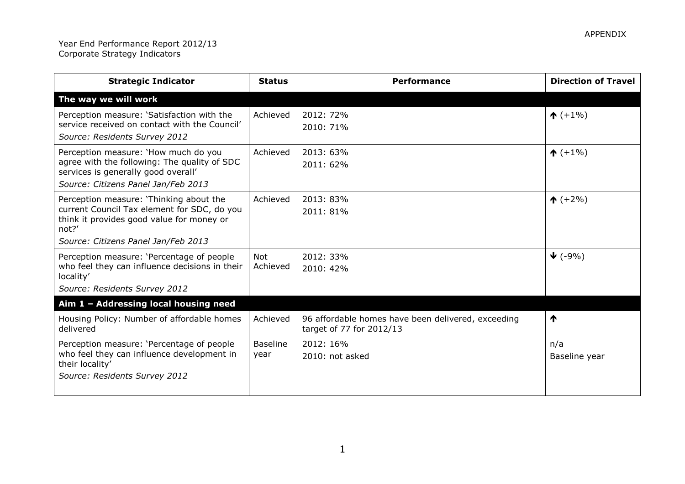| <b>Strategic Indicator</b>                                                                                                                                         | <b>Status</b>           | <b>Performance</b>                                                             | <b>Direction of Travel</b> |
|--------------------------------------------------------------------------------------------------------------------------------------------------------------------|-------------------------|--------------------------------------------------------------------------------|----------------------------|
| The way we will work                                                                                                                                               |                         |                                                                                |                            |
| Perception measure: 'Satisfaction with the<br>service received on contact with the Council'<br>Source: Residents Survey 2012                                       | Achieved                | 2012: 72%<br>2010: 71%                                                         | $\uparrow$ (+1%)           |
| Perception measure: 'How much do you<br>agree with the following: The quality of SDC<br>services is generally good overall'<br>Source: Citizens Panel Jan/Feb 2013 | Achieved                | 2013: 63%<br>2011: 62%                                                         | $\uparrow$ (+1%)           |
| Perception measure: 'Thinking about the<br>current Council Tax element for SDC, do you<br>think it provides good value for money or<br>not?'                       | Achieved                | 2013: 83%<br>2011: 81%                                                         | $\uparrow$ (+2%)           |
| Source: Citizens Panel Jan/Feb 2013                                                                                                                                |                         |                                                                                |                            |
| Perception measure: 'Percentage of people<br>who feel they can influence decisions in their<br>locality'                                                           | <b>Not</b><br>Achieved  | 2012: 33%<br>2010: 42%                                                         | $\blacktriangledown$ (-9%) |
| Source: Residents Survey 2012                                                                                                                                      |                         |                                                                                |                            |
| Aim 1 - Addressing local housing need                                                                                                                              |                         |                                                                                |                            |
| Housing Policy: Number of affordable homes<br>delivered                                                                                                            | Achieved                | 96 affordable homes have been delivered, exceeding<br>target of 77 for 2012/13 | ↑                          |
| Perception measure: 'Percentage of people<br>who feel they can influence development in<br>their locality'<br>Source: Residents Survey 2012                        | <b>Baseline</b><br>year | 2012: 16%<br>2010: not asked                                                   | n/a<br>Baseline year       |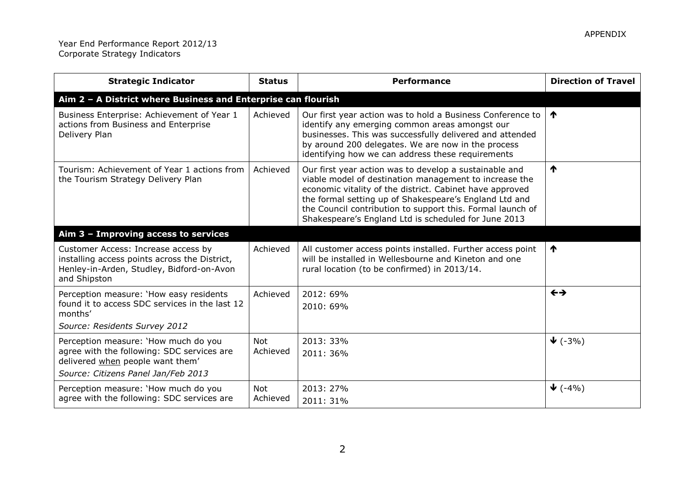| <b>Strategic Indicator</b>                                                                                                                                    | <b>Status</b>          | <b>Performance</b>                                                                                                                                                                                                                                                                                                                                           | <b>Direction of Travel</b> |
|---------------------------------------------------------------------------------------------------------------------------------------------------------------|------------------------|--------------------------------------------------------------------------------------------------------------------------------------------------------------------------------------------------------------------------------------------------------------------------------------------------------------------------------------------------------------|----------------------------|
| Aim 2 - A District where Business and Enterprise can flourish                                                                                                 |                        |                                                                                                                                                                                                                                                                                                                                                              |                            |
| Business Enterprise: Achievement of Year 1<br>actions from Business and Enterprise<br>Delivery Plan                                                           | Achieved               | Our first year action was to hold a Business Conference to<br>identify any emerging common areas amongst our<br>businesses. This was successfully delivered and attended<br>by around 200 delegates. We are now in the process<br>identifying how we can address these requirements                                                                          | $\bigwedge$                |
| Tourism: Achievement of Year 1 actions from<br>the Tourism Strategy Delivery Plan                                                                             | Achieved               | Our first year action was to develop a sustainable and<br>viable model of destination management to increase the<br>economic vitality of the district. Cabinet have approved<br>the formal setting up of Shakespeare's England Ltd and<br>the Council contribution to support this. Formal launch of<br>Shakespeare's England Ltd is scheduled for June 2013 | ↑                          |
| Aim $3$ – Improving access to services                                                                                                                        |                        |                                                                                                                                                                                                                                                                                                                                                              |                            |
| Customer Access: Increase access by<br>installing access points across the District,<br>Henley-in-Arden, Studley, Bidford-on-Avon<br>and Shipston             | Achieved               | All customer access points installed. Further access point<br>will be installed in Wellesbourne and Kineton and one<br>rural location (to be confirmed) in 2013/14.                                                                                                                                                                                          | ↑                          |
| Perception measure: 'How easy residents<br>found it to access SDC services in the last 12<br>months'<br>Source: Residents Survey 2012                         | Achieved               | 2012: 69%<br>2010: 69%                                                                                                                                                                                                                                                                                                                                       | $\leftrightarrow$          |
| Perception measure: 'How much do you<br>agree with the following: SDC services are<br>delivered when people want them'<br>Source: Citizens Panel Jan/Feb 2013 | <b>Not</b><br>Achieved | 2013: 33%<br>2011: 36%                                                                                                                                                                                                                                                                                                                                       | $\blacktriangledown$ (-3%) |
| Perception measure: 'How much do you<br>agree with the following: SDC services are                                                                            | Not<br>Achieved        | 2013: 27%<br>2011: 31%                                                                                                                                                                                                                                                                                                                                       | $\blacktriangledown$ (-4%) |